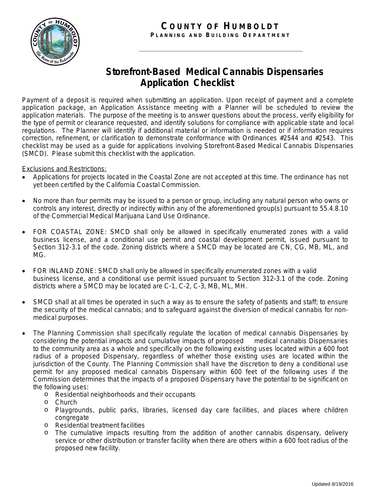

## **Storefront-Based Medical Cannabis Dispensaries Application Checklist**

Payment of a deposit is required when submitting an application. Upon receipt of payment and a complete application package, an Application Assistance meeting with a Planner will be scheduled to review the application materials. The purpose of the meeting is to answer questions about the process, verify eligibility for the type of permit or clearance requested, and identify solutions for compliance with applicable state and local regulations. The Planner will identify if additional material or information is needed or if information requires correction, refinement, or clarification to demonstrate conformance with Ordinances #2544 and #2543. This checklist may be used as a guide for applications involving Storefront-Based Medical Cannabis Dispensaries (SMCD). Please submit this checklist with the application.

## Exclusions and Restrictions:

- Applications for projects located in the Coastal Zone are not accepted at this time. The ordinance has not yet been certified by the California Coastal Commission.
- No more than four permits may be issued to a person or group, including any natural person who owns or controls any interest, directly or indirectly within any of the aforementioned group(s) pursuant to 55.4.8.10 of the Commercial Medical Marijuana Land Use Ordinance.
- FOR COASTAL ZONE: SMCD shall only be allowed in specifically enumerated zones with a valid business license, and a conditional use permit and coastal development permit, issued pursuant to Section 312-3.1 of the code. Zoning districts where a SMCD may be located are CN, CG, MB, ML, and MG.
- FOR INLAND ZONE: SMCD shall only be allowed in specifically enumerated zones with a valid business license, and a conditional use permit issued pursuant to Section 312-3.1 of the code. Zoning districts where a SMCD may be located are C-1, C-2, C-3, MB, ML, MH.
- SMCD shall at all times be operated in such a way as to ensure the safety of patients and staff; to ensure the security of the medical cannabis; and to safeguard against the diversion of medical cannabis for nonmedical purposes.
- The Planning Commission shall specifically regulate the location of medical cannabis Dispensaries by considering the potential impacts and cumulative impacts of proposed medical cannabis Dispensaries to the community area as a whole and specifically on the following existing uses located within a 600 foot radius of a proposed Dispensary, regardless of whether those existing uses are located within the jurisdiction of the County. The Planning Commission shall have the discretion to deny a conditional use permit for any proposed medical cannabis Dispensary within 600 feet of the following uses if the Commission determines that the impacts of a proposed Dispensary have the potential to be significant on the following uses:
	- o Residential neighborhoods and their occupants
	- o Church
	- o Playgrounds, public parks, libraries, licensed day care facilities, and places where children congregate
	- o Residential treatment facilities
	- o The cumulative impacts resulting from the addition of another cannabis dispensary, delivery service or other distribution or transfer facility when there are others within a 600 foot radius of the proposed new facility.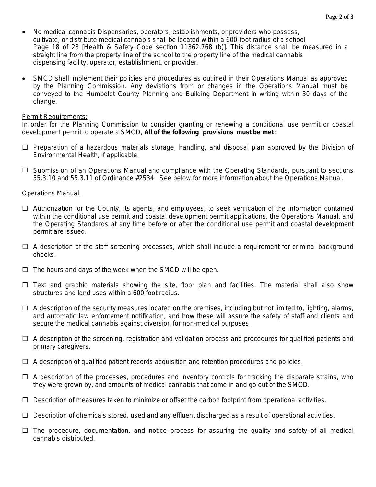- No medical cannabis Dispensaries, operators, establishments, or providers who possess, cultivate, or distribute medical cannabis shall be located within a 600-foot radius of a school Page 18 of 23 [Health & Safety Code section 11362.768 (b)]. This distance shall be measured in a straight line from the property line of the school to the property line of the medical cannabis dispensing facility, operator, establishment, or provider.
- SMCD shall implement their policies and procedures as outlined in their Operations Manual as approved by the Planning Commission. Any deviations from or changes in the Operations Manual must be conveyed to the Humboldt County Planning and Building Department in writing within 30 days of the change.

## Permit Requirements:

In order for the Planning Commission to consider granting or renewing a conditional use permit or coastal development permit to operate a SMCD, **All of the following provisions must be met** :

- $\Box$  Preparation of a hazardous materials storage, handling, and disposal plan approved by the Division of Environmental Health, if applicable.
- Submission of an Operations Manual and compliance with the Operating Standards, pursuant to sections 55.3.10 and 55.3.11 of Ordinance #2534. See below for more information about the Operations Manual.

## Operations Manual:

- $\Box$  Authorization for the County, its agents, and employees, to seek verification of the information contained within the conditional use permit and coastal development permit applications, the Operations Manual, and the Operating Standards at any time before or after the conditional use permit and coastal development permit are issued.
- $\Box$  A description of the staff screening processes, which shall include a requirement for criminal background checks.
- $\Box$  The hours and days of the week when the SMCD will be open.
- $\Box$  Text and graphic materials showing the site, floor plan and facilities. The material shall also show structures and land uses within a 600 foot radius.
- $\Box$  A description of the security measures located on the premises, including but not limited to, lighting, alarms, and automatic law enforcement notification, and how these will assure the safety of staff and clients and secure the medical cannabis against diversion for non-medical purposes.
- $\Box$  A description of the screening, registration and validation process and procedures for qualified patients and primary caregivers.
- $\Box$  A description of qualified patient records acquisition and retention procedures and policies.
- $\Box$  A description of the processes, procedures and inventory controls for tracking the disparate strains, who they were grown by, and amounts of medical cannabis that come in and go out of the SMCD.
- $\Box$  Description of measures taken to minimize or offset the carbon footprint from operational activities.
- $\Box$  Description of chemicals stored, used and any effluent discharged as a result of operational activities.
- $\Box$  The procedure, documentation, and notice process for assuring the quality and safety of all medical cannabis distributed.